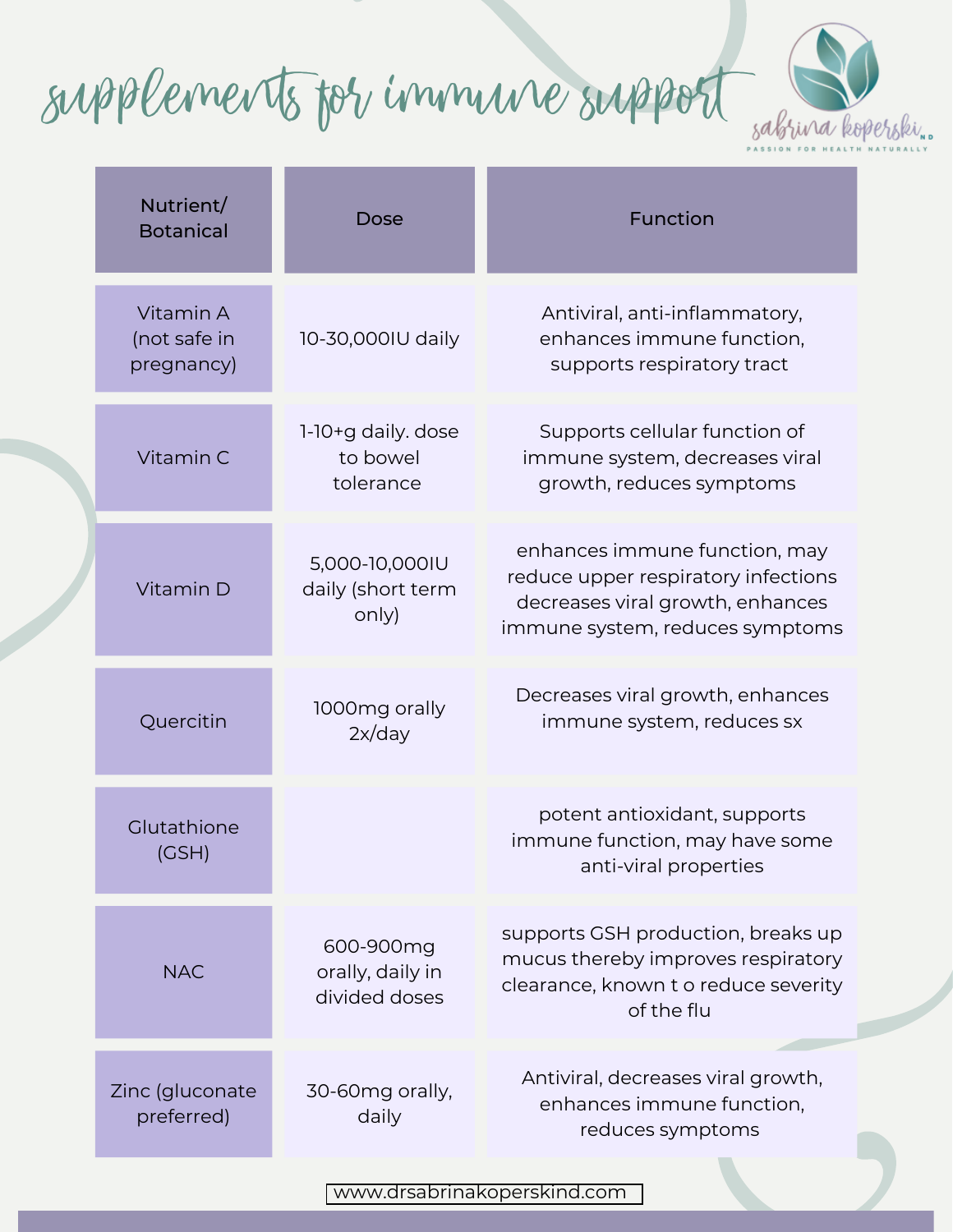Supplements for Immune support



|  | Nutrient/<br><b>Botanical</b>           | Dose                                           | Function                                                                                                                                    |
|--|-----------------------------------------|------------------------------------------------|---------------------------------------------------------------------------------------------------------------------------------------------|
|  | Vitamin A<br>(not safe in<br>pregnancy) | 10-30,000IU daily                              | Antiviral, anti-inflammatory,<br>enhances immune function,<br>supports respiratory tract                                                    |
|  | Vitamin C                               | 1-10+g daily. dose<br>to bowel<br>tolerance    | Supports cellular function of<br>immune system, decreases viral<br>growth, reduces symptoms                                                 |
|  | Vitamin D                               | 5,000-10,000IU<br>daily (short term<br>only)   | enhances immune function, may<br>reduce upper respiratory infections<br>decreases viral growth, enhances<br>immune system, reduces symptoms |
|  | Quercitin                               | 1000mg orally<br>2x/day                        | Decreases viral growth, enhances<br>immune system, reduces sx                                                                               |
|  | Glutathione<br>(GSH)                    |                                                | potent antioxidant, supports<br>immune function, may have some<br>anti-viral properties                                                     |
|  | <b>NAC</b>                              | 600-900mg<br>orally, daily in<br>divided doses | supports GSH production, breaks up<br>mucus thereby improves respiratory<br>clearance, known t o reduce severity<br>of the flu              |
|  | Zinc (gluconate<br>preferred)           | 30-60mg orally,<br>daily                       | Antiviral, decreases viral growth,<br>enhances immune function,<br>reduces symptoms                                                         |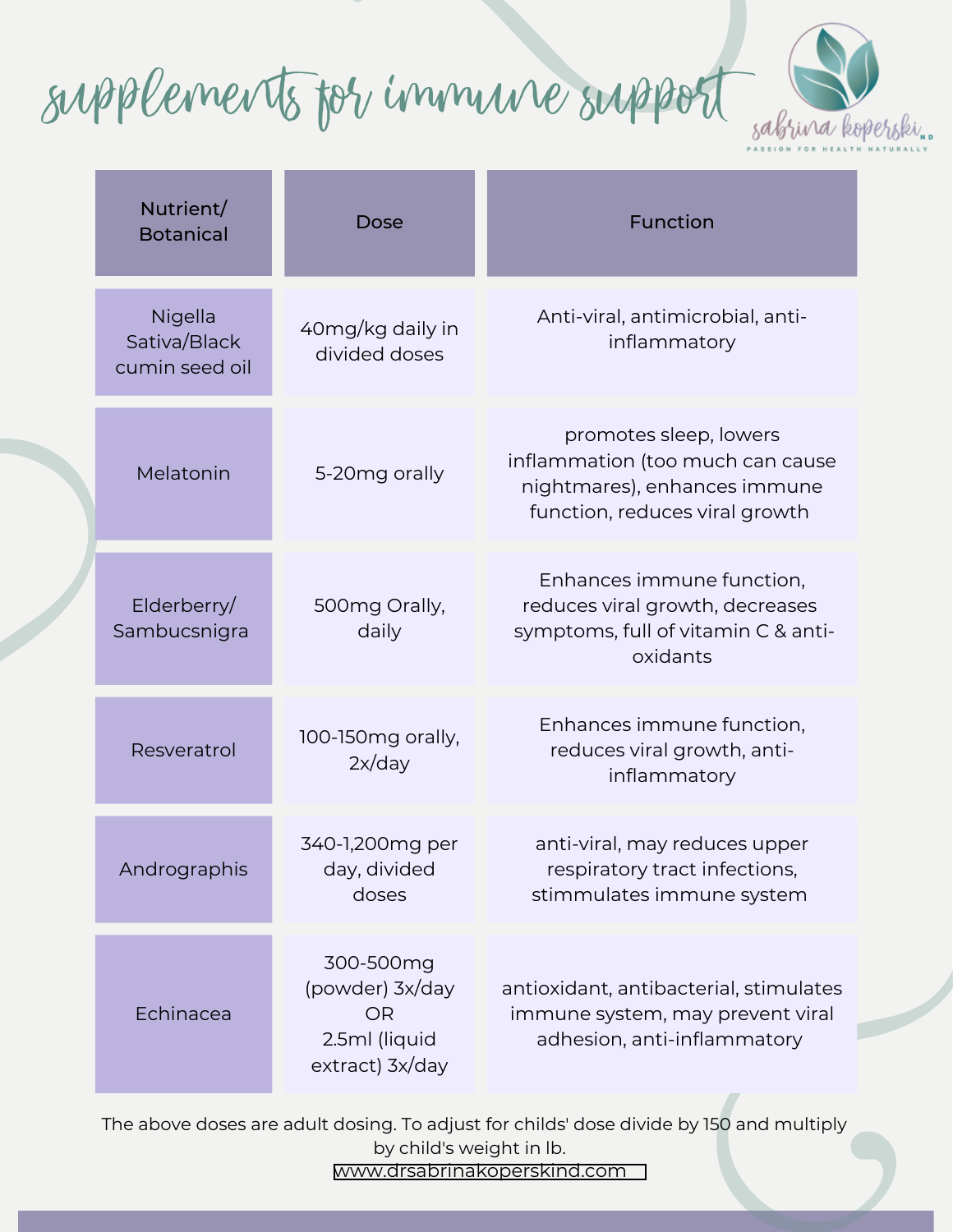Supplements for Immune support



| Nutrient/<br><b>Botanical</b>             | Dose                                                                          | Function                                                                                                                     |
|-------------------------------------------|-------------------------------------------------------------------------------|------------------------------------------------------------------------------------------------------------------------------|
| Nigella<br>Sativa/Black<br>cumin seed oil | 40mg/kg daily in<br>divided doses                                             | Anti-viral, antimicrobial, anti-<br>inflammatory                                                                             |
| Melatonin                                 | 5-20mg orally                                                                 | promotes sleep, lowers<br>inflammation (too much can cause<br>nightmares), enhances immune<br>function, reduces viral growth |
| Elderberry/<br>Sambucsnigra               | 500mg Orally,<br>daily                                                        | Enhances immune function,<br>reduces viral growth, decreases<br>symptoms, full of vitamin C & anti-<br>oxidants              |
| Resveratrol                               | 100-150mg orally,<br>2x/day                                                   | Enhances immune function,<br>reduces viral growth, anti-<br>inflammatory                                                     |
| Andrographis                              | 340-1,200mg per<br>day, divided<br>doses                                      | anti-viral, may reduces upper<br>respiratory tract infections,<br>stimmulates immune system                                  |
| Echinacea                                 | 300-500mg<br>(powder) 3x/day<br><b>OR</b><br>2.5ml (liquid<br>extract) 3x/day | antioxidant, antibacterial, stimulates<br>immune system, may prevent viral<br>adhesion, anti-inflammatory                    |

<www.drsabrinakoperskind.com> The above doses are adult dosing. To adjust for childs' dose divide by 150 and multiply by child's weight in lb.